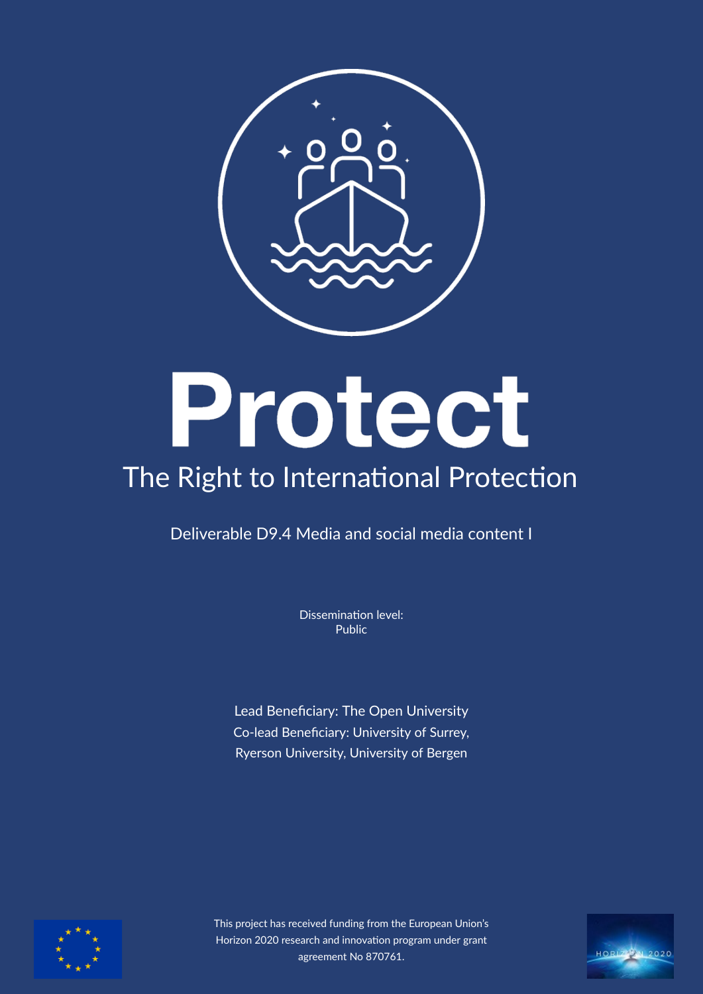

# Protect

# The Right to International Protection

Deliverable D9.4 Media and social media content I

Dissemination level: Public

Lead Benefciary: The Open University Co-lead Beneficiary: University of Surrey, Ryerson University, University of Bergen



This project has received funding from the European Union's Horizon 2020 research and innovation program under grant agreement No 870761.

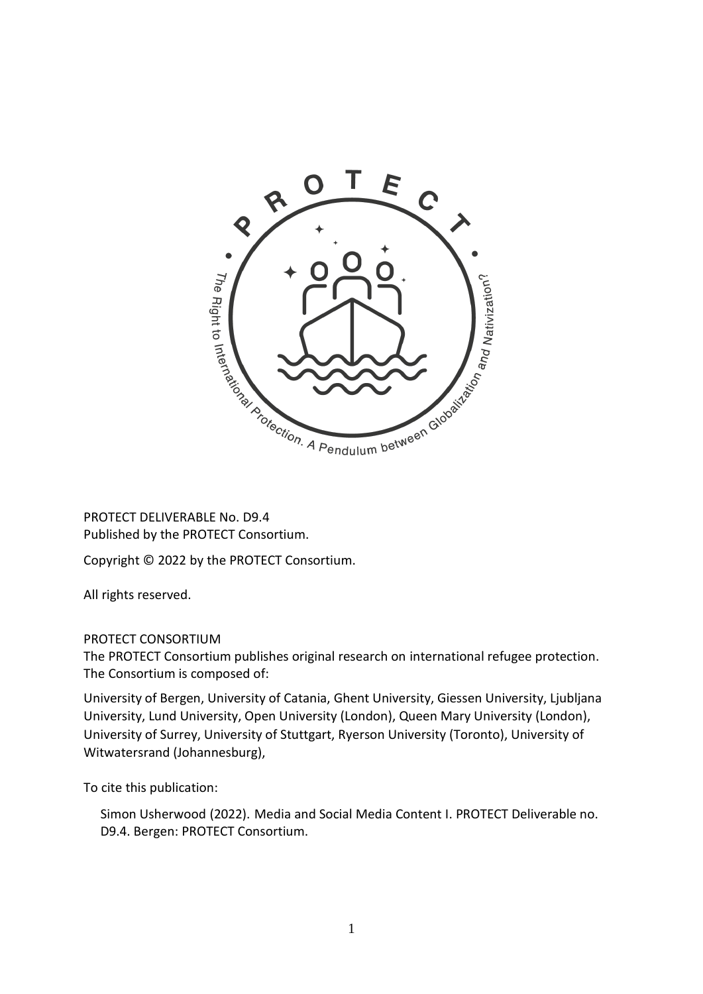

PROTECT DELIVERABLE No. D9.4 Published by the PROTECT Consortium.

Copyright © 2022 by the PROTECT Consortium.

All rights reserved.

#### PROTECT CONSORTIUM

The PROTECT Consortium publishes original research on international refugee protection. The Consortium is composed of:

University of Bergen, University of Catania, Ghent University, Giessen University, Ljubljana University, Lund University, Open University (London), Queen Mary University (London), University of Surrey, University of Stuttgart, Ryerson University (Toronto), University of Witwatersrand (Johannesburg),

To cite this publication:

Simon Usherwood (2022). Media and Social Media Content I. PROTECT Deliverable no. D9.4. Bergen: PROTECT Consortium.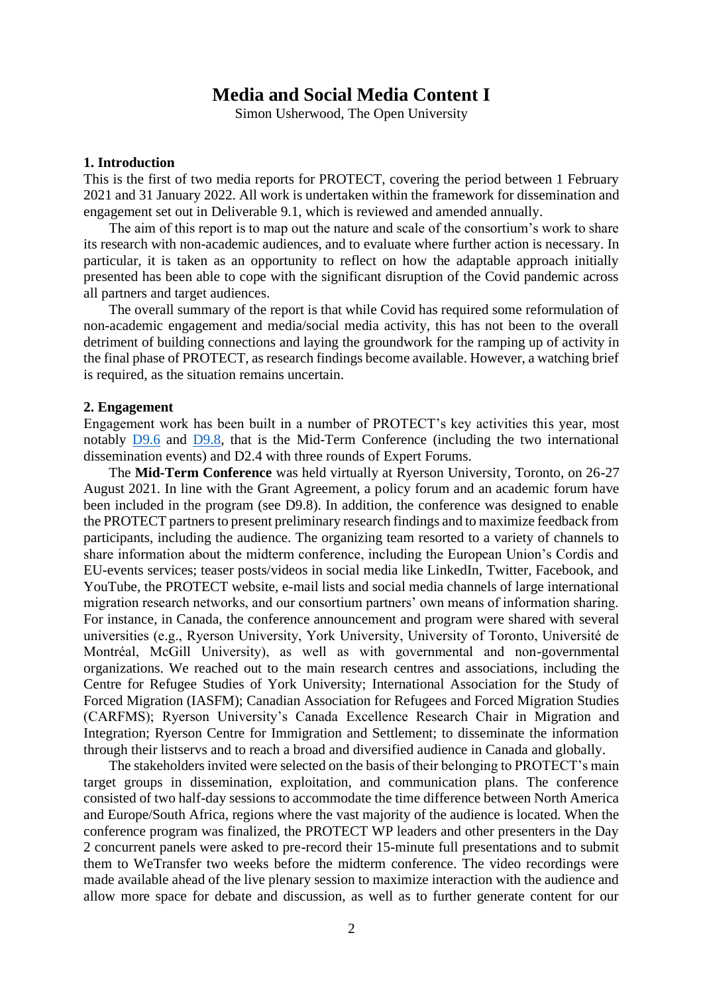### **Media and Social Media Content I**

Simon Usherwood, The Open University

#### **1. Introduction**

This is the first of two media reports for PROTECT, covering the period between 1 February 2021 and 31 January 2022. All work is undertaken within the framework for dissemination and engagement set out in Deliverable 9.1, which is reviewed and amended annually.

The aim of this report is to map out the nature and scale of the consortium's work to share its research with non-academic audiences, and to evaluate where further action is necessary. In particular, it is taken as an opportunity to reflect on how the adaptable approach initially presented has been able to cope with the significant disruption of the Covid pandemic across all partners and target audiences.

The overall summary of the report is that while Covid has required some reformulation of non-academic engagement and media/social media activity, this has not been to the overall detriment of building connections and laying the groundwork for the ramping up of activity in the final phase of PROTECT, as research findings become available. However, a watching brief is required, as the situation remains uncertain.

#### **2. Engagement**

Engagement work has been built in a number of PROTECT's key activities this year, most notably [D9.6](https://protectproject.w.uib.no/files/2021/10/D9.6-The-Mid-term-Conference-1.pdf) and [D9.8,](https://protectproject.w.uib.no/files/2021/10/D9.8-2-International-dissemination-events-I-1.pdf) that is the Mid-Term Conference (including the two international dissemination events) and D2.4 with three rounds of Expert Forums.

The **Mid-Term Conference** was held virtually at Ryerson University, Toronto, on 26-27 August 2021. In line with the Grant Agreement, a policy forum and an academic forum have been included in the program (see D9.8). In addition, the conference was designed to enable the PROTECT partners to present preliminary research findings and to maximize feedback from participants, including the audience. The organizing team resorted to a variety of channels to share information about the midterm conference, including the European Union's Cordis and EU-events services; teaser posts/videos in social media like LinkedIn, Twitter, Facebook, and YouTube, the PROTECT website, e-mail lists and social media channels of large international migration research networks, and our consortium partners' own means of information sharing. For instance, in Canada, the conference announcement and program were shared with several universities (e.g., Ryerson University, York University, University of Toronto, Université de Montréal, McGill University), as well as with governmental and non-governmental organizations. We reached out to the main research centres and associations, including the Centre for Refugee Studies of York University; International Association for the Study of Forced Migration (IASFM); Canadian Association for Refugees and Forced Migration Studies (CARFMS); Ryerson University's Canada Excellence Research Chair in Migration and Integration; Ryerson Centre for Immigration and Settlement; to disseminate the information through their listservs and to reach a broad and diversified audience in Canada and globally.

The stakeholders invited were selected on the basis of their belonging to PROTECT's main target groups in dissemination, exploitation, and communication plans. The conference consisted of two half-day sessions to accommodate the time difference between North America and Europe/South Africa, regions where the vast majority of the audience is located. When the conference program was finalized, the PROTECT WP leaders and other presenters in the Day 2 concurrent panels were asked to pre-record their 15-minute full presentations and to submit them to WeTransfer two weeks before the midterm conference. The video recordings were made available ahead of the live plenary session to maximize interaction with the audience and allow more space for debate and discussion, as well as to further generate content for our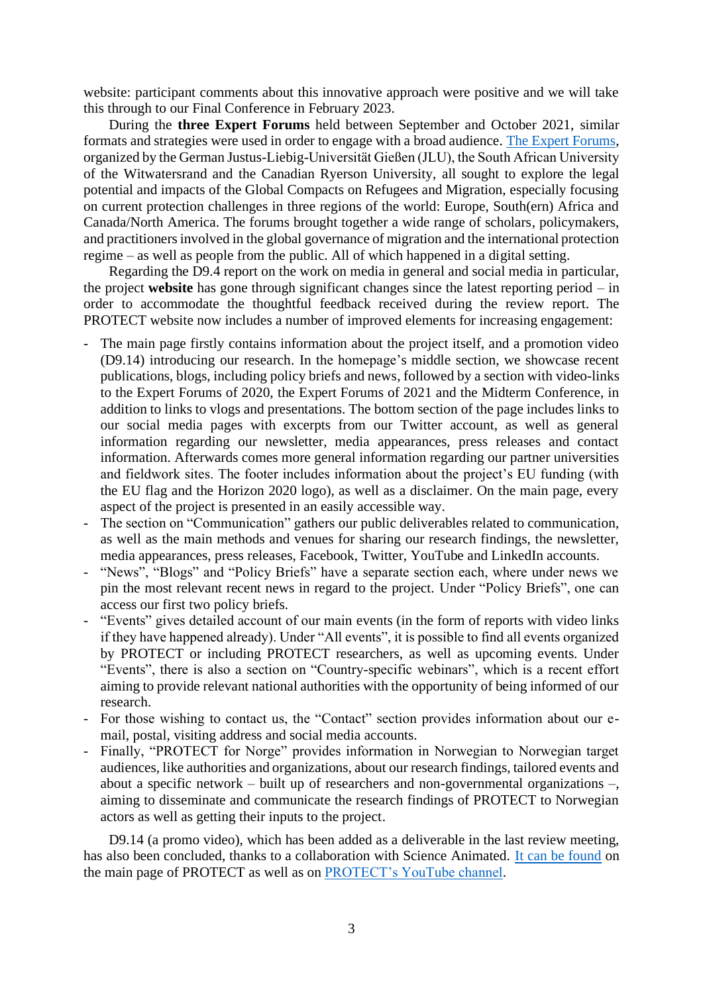website: participant comments about this innovative approach were positive and we will take this through to our Final Conference in February 2023.

During the **three Expert Forums** held between September and October 2021, similar formats and strategies were used in order to engage with a broad audience. [The Expert Forums,](https://protectproject.w.uib.no/7246-2/) organized by the German Justus-Liebig-Universität Gießen (JLU), the South African University of the Witwatersrand and the Canadian Ryerson University, all sought to explore the legal potential and impacts of the Global Compacts on Refugees and Migration, especially focusing on current protection challenges in three regions of the world: Europe, South(ern) Africa and Canada/North America. The forums brought together a wide range of scholars, policymakers, and practitioners involved in the global governance of migration and the international protection regime – as well as people from the public. All of which happened in a digital setting.

Regarding the D9.4 report on the work on media in general and social media in particular, the project **website** has gone through significant changes since the latest reporting period – in order to accommodate the thoughtful feedback received during the review report. The PROTECT website now includes a number of improved elements for increasing engagement:

- The main page firstly contains information about the project itself, and a promotion video (D9.14) introducing our research. In the homepage's middle section, we showcase recent publications, blogs, including policy briefs and news, followed by a section with video-links to the Expert Forums of 2020, the Expert Forums of 2021 and the Midterm Conference, in addition to links to vlogs and presentations. The bottom section of the page includes links to our social media pages with excerpts from our Twitter account, as well as general information regarding our newsletter, media appearances, press releases and contact information. Afterwards comes more general information regarding our partner universities and fieldwork sites. The footer includes information about the project's EU funding (with the EU flag and the Horizon 2020 logo), as well as a disclaimer. On the main page, every aspect of the project is presented in an easily accessible way.
- The section on "Communication" gathers our public deliverables related to communication, as well as the main methods and venues for sharing our research findings, the newsletter, media appearances, press releases, Facebook, Twitter, YouTube and LinkedIn accounts.
- "News", "Blogs" and "Policy Briefs" have a separate section each, where under news we pin the most relevant recent news in regard to the project. Under "Policy Briefs", one can access our first two policy briefs.
- "Events" gives detailed account of our main events (in the form of reports with video links if they have happened already). Under "All events", it is possible to find all events organized by PROTECT or including PROTECT researchers, as well as upcoming events. Under "Events", there is also a section on "Country-specific webinars", which is a recent effort aiming to provide relevant national authorities with the opportunity of being informed of our research.
- For those wishing to contact us, the "Contact" section provides information about our email, postal, visiting address and social media accounts.
- Finally, "PROTECT for Norge" provides information in Norwegian to Norwegian target audiences, like authorities and organizations, about our research findings, tailored events and about a specific network – built up of researchers and non-governmental organizations –, aiming to disseminate and communicate the research findings of PROTECT to Norwegian actors as well as getting their inputs to the project.

D9.14 (a promo video), which has been added as a deliverable in the last review meeting, has also been concluded, thanks to a collaboration with Science Animated. [It can be found](https://protectproject.w.uib.no/) on the main page of PROTECT as well as on [PROTECT's YouTube channel.](https://www.youtube.com/channel/UCYxe_OtuObD6xHkWWqQGfuQ/featured)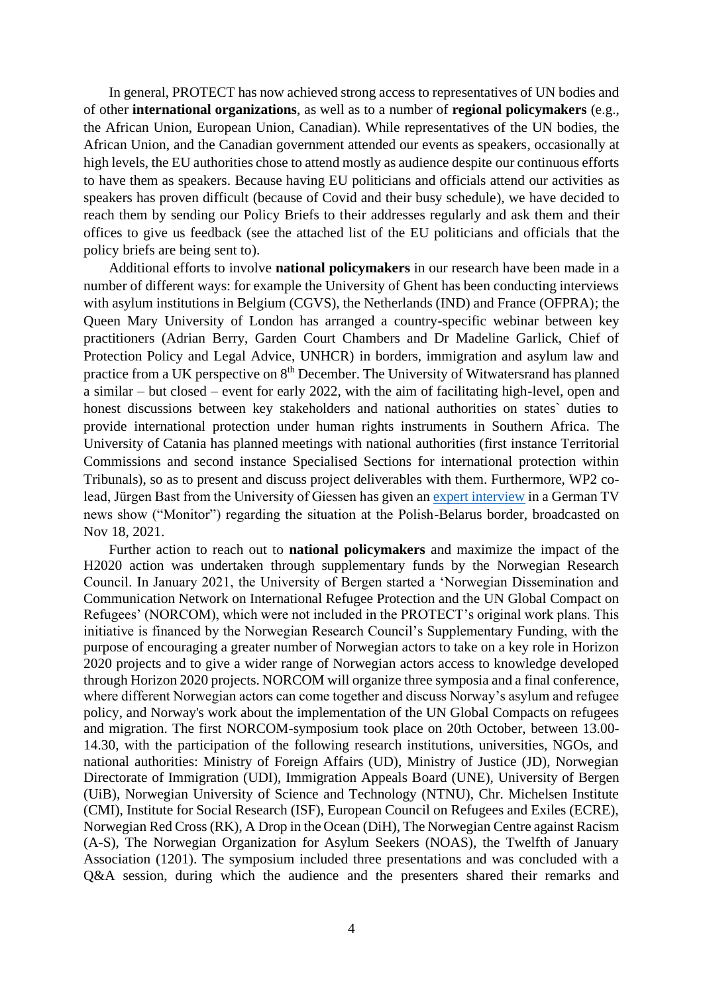In general, PROTECT has now achieved strong access to representatives of UN bodies and of other **international organizations**, as well as to a number of **regional policymakers** (e.g., the African Union, European Union, Canadian). While representatives of the UN bodies, the African Union, and the Canadian government attended our events as speakers, occasionally at high levels, the EU authorities chose to attend mostly as audience despite our continuous efforts to have them as speakers. Because having EU politicians and officials attend our activities as speakers has proven difficult (because of Covid and their busy schedule), we have decided to reach them by sending our Policy Briefs to their addresses regularly and ask them and their offices to give us feedback (see the attached list of the EU politicians and officials that the policy briefs are being sent to).

Additional efforts to involve **national policymakers** in our research have been made in a number of different ways: for example the University of Ghent has been conducting interviews with asylum institutions in Belgium (CGVS), the Netherlands (IND) and France (OFPRA); the Queen Mary University of London has arranged a country-specific webinar between key practitioners (Adrian Berry, Garden Court Chambers and Dr Madeline Garlick, Chief of Protection Policy and Legal Advice, UNHCR) in borders, immigration and asylum law and practice from a UK perspective on  $8<sup>th</sup>$  December. The University of Witwatersrand has planned a similar – but closed – event for early 2022, with the aim of facilitating high-level, open and honest discussions between key stakeholders and national authorities on states` duties to provide international protection under human rights instruments in Southern Africa. The University of Catania has planned meetings with national authorities (first instance Territorial Commissions and second instance Specialised Sections for international protection within Tribunals), so as to present and discuss project deliverables with them. Furthermore, WP2 colead, Jürgen Bast from the University of Giessen has given a[n expert interview](https://www1.wdr.de/daserste/monitor/sendungen/grenzen-europa-100.html) in a German TV news show ("Monitor") regarding the situation at the Polish-Belarus border, broadcasted on Nov 18, 2021.

Further action to reach out to **national policymakers** and maximize the impact of the H2020 action was undertaken through supplementary funds by the Norwegian Research Council. In January 2021, the University of Bergen started a 'Norwegian Dissemination and Communication Network on International Refugee Protection and the UN Global Compact on Refugees' (NORCOM), which were not included in the PROTECT's original work plans. This initiative is financed by the Norwegian Research Council's Supplementary Funding, with the purpose of encouraging a greater number of Norwegian actors to take on a key role in Horizon 2020 projects and to give a wider range of Norwegian actors access to knowledge developed through Horizon 2020 projects. NORCOM will organize three symposia and a final conference, where different Norwegian actors can come together and discuss Norway's asylum and refugee policy, and Norway's work about the implementation of the UN Global Compacts on refugees and migration. The first NORCOM-symposium took place on 20th October, between 13.00- 14.30, with the participation of the following research institutions, universities, NGOs, and national authorities: Ministry of Foreign Affairs (UD), Ministry of Justice (JD), Norwegian Directorate of Immigration (UDI), Immigration Appeals Board (UNE), University of Bergen (UiB), Norwegian University of Science and Technology (NTNU), Chr. Michelsen Institute (CMI), Institute for Social Research (ISF), European Council on Refugees and Exiles (ECRE), Norwegian Red Cross (RK), A Drop in the Ocean (DiH), The Norwegian Centre against Racism (A-S), The Norwegian Organization for Asylum Seekers (NOAS), the Twelfth of January Association (1201). The symposium included three presentations and was concluded with a Q&A session, during which the audience and the presenters shared their remarks and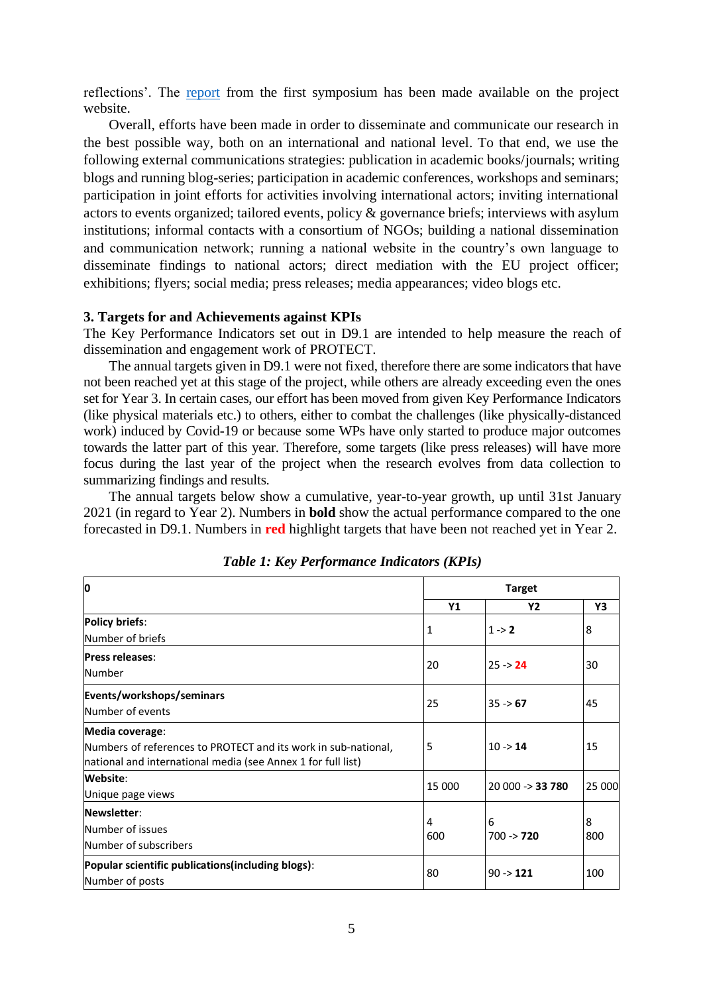reflections'. The [report](https://protectproject.w.uib.no/files/2021/11/NORKOM_Symposium_I_SummaryXY.pdf) from the first symposium has been made available on the project website.

Overall, efforts have been made in order to disseminate and communicate our research in the best possible way, both on an international and national level. To that end, we use the following external communications strategies: publication in academic books/journals; writing blogs and running blog-series; participation in academic conferences, workshops and seminars; participation in joint efforts for activities involving international actors; inviting international actors to events organized; tailored events, policy & governance briefs; interviews with asylum institutions; informal contacts with a consortium of NGOs; building a national dissemination and communication network; running a national website in the country's own language to disseminate findings to national actors; direct mediation with the EU project officer; exhibitions; flyers; social media; press releases; media appearances; video blogs etc.

#### **3. Targets for and Achievements against KPIs**

The Key Performance Indicators set out in D9.1 are intended to help measure the reach of dissemination and engagement work of PROTECT.

The annual targets given in D9.1 were not fixed, therefore there are some indicators that have not been reached yet at this stage of the project, while others are already exceeding even the ones set for Year 3. In certain cases, our effort has been moved from given Key Performance Indicators (like physical materials etc.) to others, either to combat the challenges (like physically-distanced work) induced by Covid-19 or because some WPs have only started to produce major outcomes towards the latter part of this year. Therefore, some targets (like press releases) will have more focus during the last year of the project when the research evolves from data collection to summarizing findings and results.

The annual targets below show a cumulative, year-to-year growth, up until 31st January 2021 (in regard to Year 2). Numbers in **bold** show the actual performance compared to the one forecasted in D9.1. Numbers in **red** highlight targets that have been not reached yet in Year 2.

|                                                                                                                                                   |           | <b>Target</b>             |          |  |
|---------------------------------------------------------------------------------------------------------------------------------------------------|-----------|---------------------------|----------|--|
|                                                                                                                                                   | <b>Y1</b> | <b>Y2</b>                 | Υ3       |  |
| <b>Policy briefs:</b><br>Number of briefs                                                                                                         | 1         | $1 - 2$                   | 8        |  |
| <b>Press releases:</b><br>Number                                                                                                                  | 20        | $25 - 24$                 | 30       |  |
| Events/workshops/seminars<br>Number of events                                                                                                     | 25        | $35 \div 67$              | 45       |  |
| Media coverage:<br>Numbers of references to PROTECT and its work in sub-national,<br>national and international media (see Annex 1 for full list) | 5         | $10 \rightarrow 14$       | 15       |  |
| Website:<br>Unique page views                                                                                                                     | 15 000    | $20000 \rightarrow 33780$ | 25 000   |  |
| Newsletter:<br>Number of issues<br>Number of subscribers                                                                                          | 4<br>600  | 6<br>$700 \div 720$       | 8<br>800 |  |
| Popular scientific publications(including blogs):<br>Number of posts                                                                              | 80        | $90 \div 121$             | 100      |  |

*Table 1: Key Performance Indicators (KPIs)*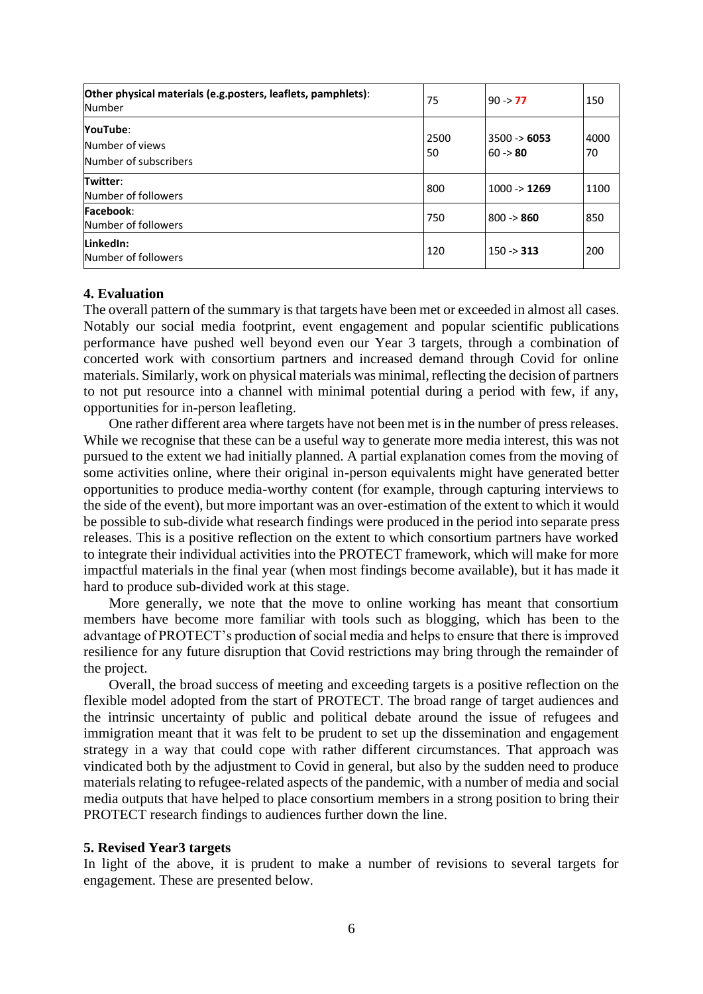| Other physical materials (e.g.posters, leaflets, pamphlets):<br>Number | 75         | $90 \div 77$                       | 150        |
|------------------------------------------------------------------------|------------|------------------------------------|------------|
| YouTube:<br>Number of views<br>Number of subscribers                   | 2500<br>50 | $3500 \rightarrow 6053$<br>60 > 80 | 4000<br>70 |
| Twitter:<br>Number of followers                                        | 800        | $1000 \rightarrow 1269$            | 1100       |
| Facebook:<br>Number of followers                                       | 750        | 800 -> 860                         | 850        |
| LinkedIn:<br>Number of followers                                       | 120        | $150 - 313$                        | 200        |

#### **4. Evaluation**

The overall pattern of the summary is that targets have been met or exceeded in almost all cases. Notably our social media footprint, event engagement and popular scientific publications performance have pushed well beyond even our Year 3 targets, through a combination of concerted work with consortium partners and increased demand through Covid for online materials. Similarly, work on physical materials was minimal, reflecting the decision of partners to not put resource into a channel with minimal potential during a period with few, if any, opportunities for in-person leafleting.

One rather different area where targets have not been met is in the number of press releases. While we recognise that these can be a useful way to generate more media interest, this was not pursued to the extent we had initially planned. A partial explanation comes from the moving of some activities online, where their original in-person equivalents might have generated better opportunities to produce media-worthy content (for example, through capturing interviews to the side of the event), but more important was an over-estimation of the extent to which it would be possible to sub-divide what research findings were produced in the period into separate press releases. This is a positive reflection on the extent to which consortium partners have worked to integrate their individual activities into the PROTECT framework, which will make for more impactful materials in the final year (when most findings become available), but it has made it hard to produce sub-divided work at this stage.

More generally, we note that the move to online working has meant that consortium members have become more familiar with tools such as blogging, which has been to the advantage of PROTECT's production of social media and helps to ensure that there is improved resilience for any future disruption that Covid restrictions may bring through the remainder of the project.

Overall, the broad success of meeting and exceeding targets is a positive reflection on the flexible model adopted from the start of PROTECT. The broad range of target audiences and the intrinsic uncertainty of public and political debate around the issue of refugees and immigration meant that it was felt to be prudent to set up the dissemination and engagement strategy in a way that could cope with rather different circumstances. That approach was vindicated both by the adjustment to Covid in general, but also by the sudden need to produce materials relating to refugee-related aspects of the pandemic, with a number of media and social media outputs that have helped to place consortium members in a strong position to bring their PROTECT research findings to audiences further down the line.

#### **5. Revised Year3 targets**

In light of the above, it is prudent to make a number of revisions to several targets for engagement. These are presented below.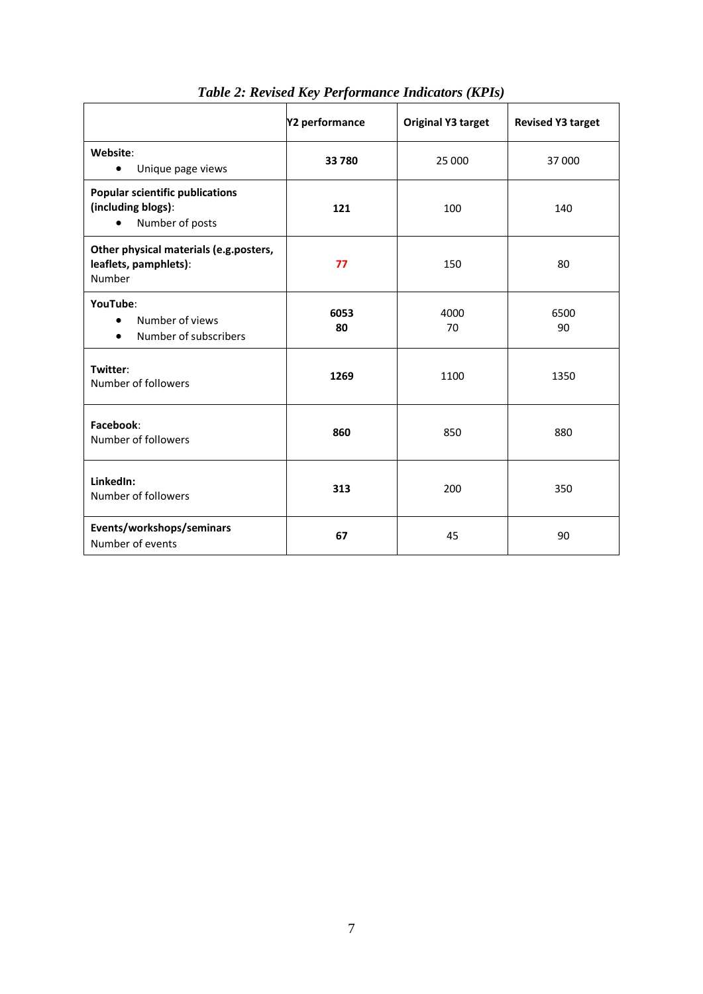|                                                                                              | Y2 performance | <b>Original Y3 target</b> | <b>Revised Y3 target</b> |
|----------------------------------------------------------------------------------------------|----------------|---------------------------|--------------------------|
| Website:<br>Unique page views<br>$\bullet$                                                   | 33 780         | 25 000                    | 37000                    |
| <b>Popular scientific publications</b><br>(including blogs):<br>Number of posts<br>$\bullet$ | 121            | 100                       | 140                      |
| Other physical materials (e.g.posters,<br>leaflets, pamphlets):<br>Number                    | 77             | 150                       | 80                       |
| YouTube:<br>Number of views<br>$\bullet$<br>Number of subscribers<br>$\bullet$               | 6053<br>80     | 4000<br>70                | 6500<br>90               |
| Twitter:<br>Number of followers                                                              | 1269           | 1100                      | 1350                     |
| Facebook:<br>Number of followers                                                             | 860            | 850                       | 880                      |
| LinkedIn:<br>Number of followers                                                             | 313            | 200                       | 350                      |
| Events/workshops/seminars<br>Number of events                                                | 67             | 45                        | 90                       |

*Table 2: Revised Key Performance Indicators (KPIs)*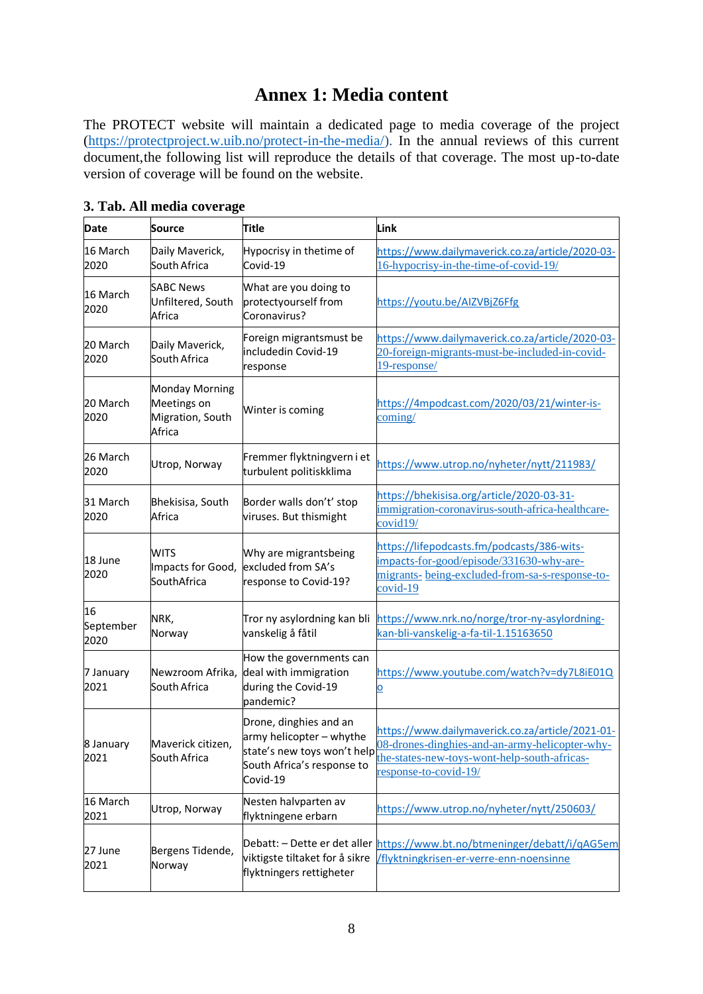## **Annex 1: Media content**

The PROTECT website will maintain a dedicated page to media coverage of the project [\(https://protectproject.w.uib.no/protect-in-the-media/\)](https://protectproject.w.uib.no/protect-in-the-media/). In the annual reviews of this current document,the following list will reproduce the details of that coverage. The most up-to-date version of coverage will be found on the website.

| <b>Date</b>             | <b>Source</b>                                                      | <b>Title</b>                                                                                                                | Link                                                                                                                                                                        |
|-------------------------|--------------------------------------------------------------------|-----------------------------------------------------------------------------------------------------------------------------|-----------------------------------------------------------------------------------------------------------------------------------------------------------------------------|
| 16 March<br>2020        | Daily Maverick,<br>South Africa                                    | Hypocrisy in thetime of<br>Covid-19                                                                                         | https://www.dailymaverick.co.za/article/2020-03-<br>16-hypocrisy-in-the-time-of-covid-19/                                                                                   |
| 16 March<br>2020        | <b>SABC News</b><br>Unfiltered, South<br>Africa                    | What are you doing to<br>protectyourself from<br>Coronavirus?                                                               | https://youtu.be/AIZVBjZ6Ffg                                                                                                                                                |
| 20 March<br>2020        | Daily Maverick,<br>South Africa                                    | Foreign migrantsmust be<br>includedin Covid-19<br>response                                                                  | https://www.dailymaverick.co.za/article/2020-03-<br>20-foreign-migrants-must-be-included-in-covid-<br>19-response/                                                          |
| 20 March<br>2020        | <b>Monday Morning</b><br>Meetings on<br>Migration, South<br>Africa | Winter is coming                                                                                                            | https://4mpodcast.com/2020/03/21/winter-is-<br>coming/                                                                                                                      |
| 26 March<br>2020        | Utrop, Norway                                                      | Fremmer flyktningvern i et<br>turbulent politiskklima                                                                       | https://www.utrop.no/nyheter/nytt/211983/                                                                                                                                   |
| 31 March<br>2020        | Bhekisisa, South<br>Africa                                         | Border walls don't' stop<br>viruses. But thismight                                                                          | https://bhekisisa.org/article/2020-03-31-<br>immigration-coronavirus-south-africa-healthcare-<br>covid19/                                                                   |
| 18 June<br>2020         | <b>WITS</b><br>Impacts for Good,<br>SouthAfrica                    | Why are migrantsbeing<br>excluded from SA's<br>response to Covid-19?                                                        | https://lifepodcasts.fm/podcasts/386-wits-<br>impacts-for-good/episode/331630-why-are-<br>migrants- being-excluded-from-sa-s-response-to-<br>$covid-19$                     |
| 16<br>September<br>2020 | NRK,<br>Norway                                                     | Tror ny asylordning kan bli<br>vanskelig å fåtil                                                                            | https://www.nrk.no/norge/tror-ny-asylordning-<br>kan-bli-vanskelig-a-fa-til-1.15163650                                                                                      |
| 7 January<br>2021       | Newzroom Afrika,<br>South Africa                                   | How the governments can<br>deal with immigration<br>during the Covid-19<br>pandemic?                                        | https://www.youtube.com/watch?v=dy7L8iE01Q<br>$\overline{\mathbf{o}}$                                                                                                       |
| 8 January<br>2021       | Maverick citizen,<br>South Africa                                  | Drone, dinghies and an<br>army helicopter - whythe<br>state's new toys won't help<br>South Africa's response to<br>Covid-19 | https://www.dailymaverick.co.za/article/2021-01-<br>08-drones-dinghies-and-an-army-helicopter-why-<br>the-states-new-toys-wont-help-south-africas-<br>response-to-covid-19/ |
| 16 March<br>2021        | Utrop, Norway                                                      | Nesten halvparten av<br>flyktningene erbarn                                                                                 | https://www.utrop.no/nyheter/nytt/250603/                                                                                                                                   |
| 27 June<br>2021         | Bergens Tidende,<br>Norway                                         | Debatt: - Dette er det aller<br>viktigste tiltaket for å sikre<br>flyktningers rettigheter                                  | https://www.bt.no/btmeninger/debatt/i/qAG5em<br>/flyktningkrisen-er-verre-enn-noensinne                                                                                     |

**3. Tab. All media coverage**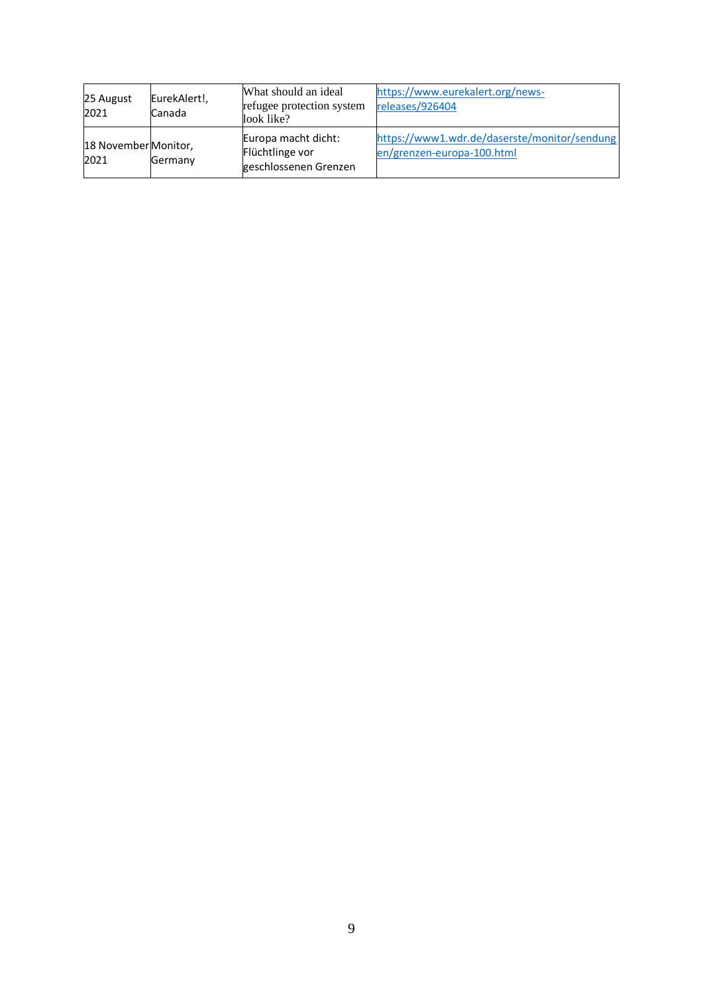| 25 August<br>2021            | EurekAlert!,<br>Canada | What should an ideal<br>refugee protection system<br>look like? | https://www.eurekalert.org/news-<br>releases/926404                        |
|------------------------------|------------------------|-----------------------------------------------------------------|----------------------------------------------------------------------------|
| 18 November Monitor,<br>2021 | Germany                | Europa macht dicht:<br>Flüchtlinge vor<br>geschlossenen Grenzen | https://www1.wdr.de/daserste/monitor/sendung<br>en/grenzen-europa-100.html |